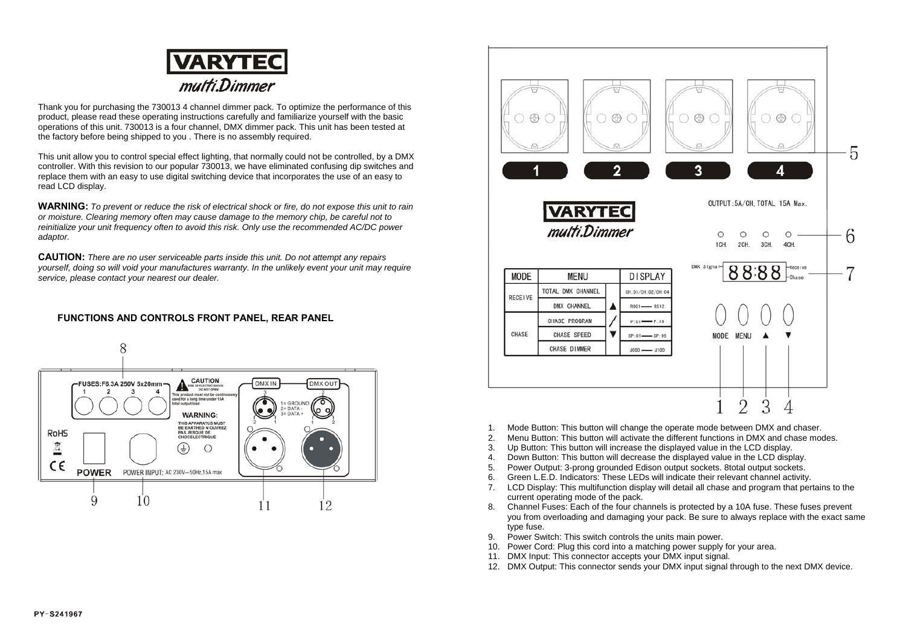

Thank you for purchasing the 730013 4 channel dimmer pack. To optimize the performance of this product, please read these operating instructions carefully and familiarize yourself with the basic operations of this unit. 730013 is a four channel, DMX dimmer pack. This unit has been tested at the factory before being shipped to you . There is no assembly required.

This unit allow you to control special effect lighting, that normally could not be controlled, by a DMX controller. With this revision to our popular 730013, we have eliminated confusing dip switches and replace them with an easy to use digital switching device that incorporates the use of an easy to read LCD display.

**WARNING:** *To prevent or reduce the risk of electrical shock or fire, do not expose this unit to rain or moisture. Clearing memory often may cause damage to the memory chip, be careful not to reinitialize your unit frequency often to avoid this risk. Only use the recommended AC/DC power adaptor.*

**CAUTION:** *There are no user serviceable parts inside this unit. Do not attempt any repairs yourself, doing so will void your manufactures warranty. In the unlikely event your unit may require service, please contact your nearest our dealer.*

## **FUNCTIONS AND CONTROLS FRONT PANEL, REAR PANEL**





- 1. Mode Button: This button will change the operate mode between DMX and chaser.
- 2. Menu Button: This button will activate the different functions in DMX and chase modes.
- 3. Up Button: This button will increase the displayed value in the LCD display.
- 4. Down Button: This button will decrease the displayed value in the LCD display.
- 5. Power Output: 3-prong grounded Edison output sockets. 8total output sockets.
- 6. Green L.E.D. Indicators: These LEDs will indicate their relevant channel activity.
- 7. LCD Display: This multifunction display will detail all chase and program that pertains to the current operating mode of the pack.
- 8. Channel Fuses: Each of the four channels is protected by a 10A fuse. These fuses prevent you from overloading and damaging your pack. Be sure to always replace with the exact same type fuse.
- 9. Power Switch: This switch controls the units main power.
- 10. Power Cord: Plug this cord into a matching power supply for your area.
- 11. DMX Input: This connector accepts your DMX input signal.
- 12. DMX Output: This connector sends your DMX input signal through to the next DMX device.